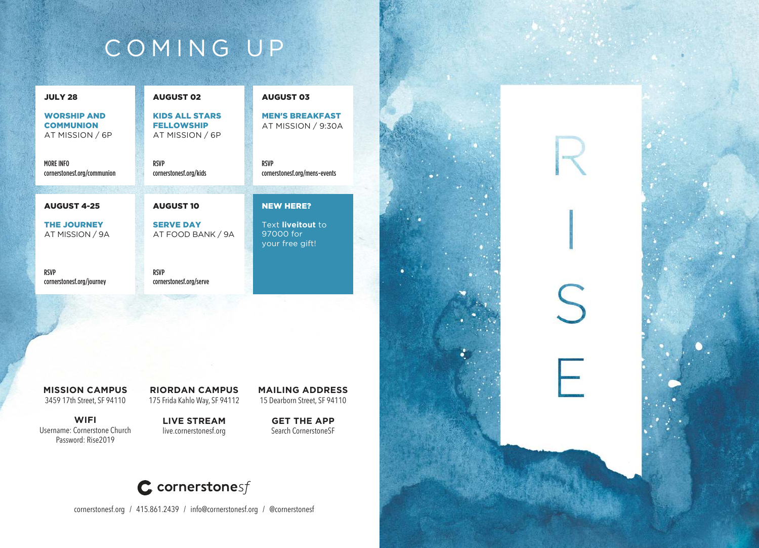# COMING UP

| <b>JULY 28</b>                                            | <b>AUGUST 02</b>                                              | <b>AUGUST 03</b>                                  |
|-----------------------------------------------------------|---------------------------------------------------------------|---------------------------------------------------|
| <b>WORSHIP AND</b><br><b>COMMUNION</b><br>AT MISSION / 6P | <b>KIDS ALL STARS</b><br><b>FELLOWSHIP</b><br>AT MISSION / 6P | <b>MEN'S BREAKFAST</b><br>AT MISSION / 9:30A      |
| MORF INFO<br>cornerstonesf.org/communion                  | <b>RSVP</b><br>cornerstonesf.org/kids                         | <b>RSVP</b><br>cornerstonesf.org/mens-events      |
| <b>AUGUST 4-25</b>                                        | <b>AUGUST 10</b>                                              | <b>NEW HERE?</b>                                  |
|                                                           |                                                               |                                                   |
| <b>THE JOURNEY</b><br>AT MISSION / 9A                     | <b>SERVE DAY</b><br>AT FOOD BANK / 9A                         | Text liveitout to<br>97000 for<br>your free gift! |
| <b>RSVP</b><br>cornerstonesf.org/journey                  | <b>RSVP</b><br>cornerstonesf.org/serve                        |                                                   |

**MISSION CAMPUS** 3459 17th Street, SF 94110

**WIFI** Username: Cornerstone Church Password: Rise2019

**RIORDAN CAMPUS** 175 Frida Kahlo Way, SF 94112

**LIVE STREAM** live.cornerstonesf.org

**GET THE APP**  Search CornerstoneSF



cornerstonesf.org / 415.861.2439 / info@cornerstonesf.org / @cornerstonesf